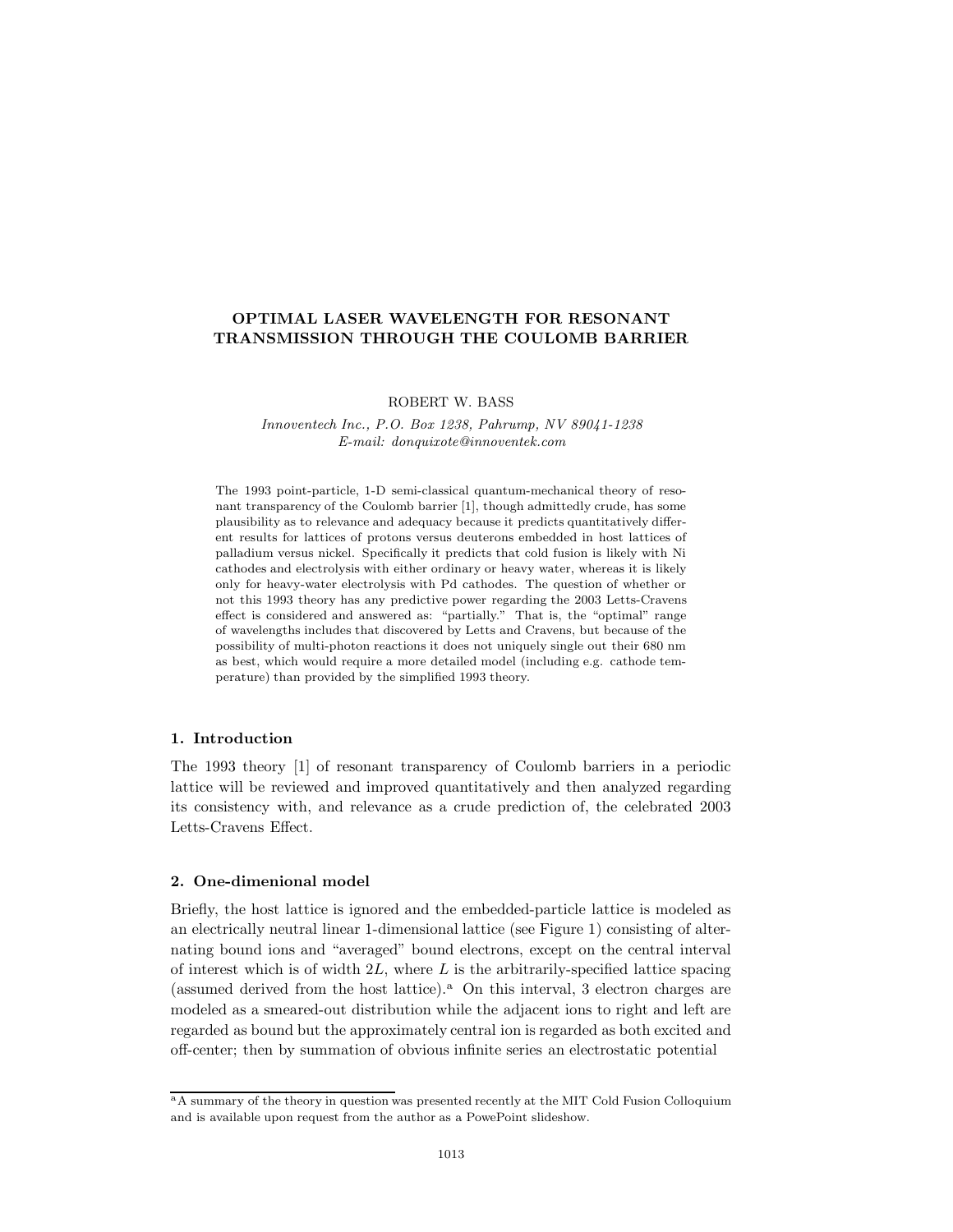# **OPTIMAL LASER WAVELENGTH FOR RESONANT TRANSMISSION THROUGH THE COULOMB BARRIER**

ROBERT W. BASS

*Innoventech Inc., P.O. Box 1238, Pahrump, NV 89041-1238 E-mail: donquixote@innoventek.com*

The 1993 point-particle, 1-D semi-classical quantum-mechanical theory of resonant transparency of the Coulomb barrier [1], though admittedly crude, has some plausibility as to relevance and adequacy because it predicts quantitatively different results for lattices of protons versus deuterons embedded in host lattices of palladium versus nickel. Specifically it predicts that cold fusion is likely with Ni cathodes and electrolysis with either ordinary or heavy water, whereas it is likely only for heavy-water electrolysis with Pd cathodes. The question of whether or not this 1993 theory has any predictive power regarding the 2003 Letts-Cravens effect is considered and answered as: "partially." That is, the "optimal" range of wavelengths includes that discovered by Letts and Cravens, but because of the possibility of multi-photon reactions it does not uniquely single out their 680 nm as best, which would require a more detailed model (including e.g. cathode temperature) than provided by the simplified 1993 theory.

# **1. Introduction**

The 1993 theory [1] of resonant transparency of Coulomb barriers in a periodic lattice will be reviewed and improved quantitatively and then analyzed regarding its consistency with, and relevance as a crude prediction of, the celebrated 2003 Letts-Cravens Effect.

# **2. One-dimenional model**

Briefly, the host lattice is ignored and the embedded-particle lattice is modeled as an electrically neutral linear 1-dimensional lattice (see Figure 1) consisting of alternating bound ions and "averaged" bound electrons, except on the central interval of interest which is of width 2*L*, where *L* is the arbitrarily-specified lattice spacing (assumed derived from the host lattice).<sup>a</sup> On this interval, 3 electron charges are modeled as a smeared-out distribution while the adjacent ions to right and left are regarded as bound but the approximately central ion is regarded as both excited and off-center; then by summation of obvious infinite series an electrostatic potential

<sup>&</sup>lt;sup>a</sup>A summary of the theory in question was presented recently at the MIT Cold Fusion Colloquium and is available upon request from the author as a PowePoint slideshow.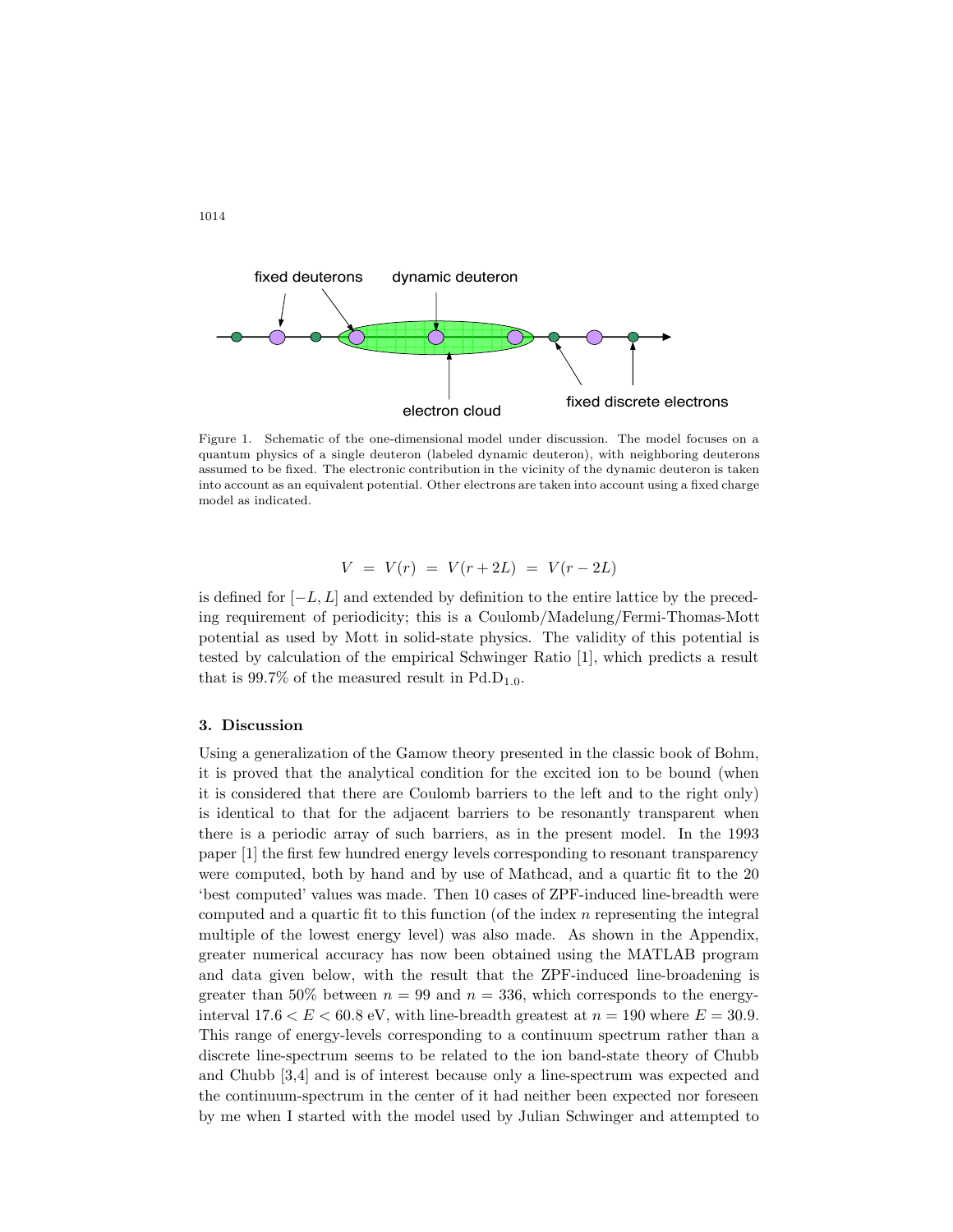

Figure 1. Schematic of the one-dimensional model under discussion. The model focuses on a quantum physics of a single deuteron (labeled dynamic deuteron), with neighboring deuterons assumed to be fixed. The electronic contribution in the vicinity of the dynamic deuteron is taken into account as an equivalent potential. Other electrons are taken into account using a fixed charge model as indicated.

$$
V = V(r) = V(r + 2L) = V(r - 2L)
$$

is defined for [*−L, L*] and extended by definition to the entire lattice by the preceding requirement of periodicity; this is a Coulomb/Madelung/Fermi-Thomas-Mott potential as used by Mott in solid-state physics. The validity of this potential is tested by calculation of the empirical Schwinger Ratio [1], which predicts a result that is  $99.7\%$  of the measured result in Pd.D<sub>1.0</sub>.

## **3. Discussion**

Using a generalization of the Gamow theory presented in the classic book of Bohm, it is proved that the analytical condition for the excited ion to be bound (when it is considered that there are Coulomb barriers to the left and to the right only) is identical to that for the adjacent barriers to be resonantly transparent when there is a periodic array of such barriers, as in the present model. In the 1993 paper [1] the first few hundred energy levels corresponding to resonant transparency were computed, both by hand and by use of Mathcad, and a quartic fit to the 20 'best computed' values was made. Then 10 cases of ZPF-induced line-breadth were computed and a quartic fit to this function (of the index *n* representing the integral multiple of the lowest energy level) was also made. As shown in the Appendix, greater numerical accuracy has now been obtained using the MATLAB program and data given below, with the result that the ZPF-induced line-broadening is greater than 50% between  $n = 99$  and  $n = 336$ , which corresponds to the energyinterval  $17.6 < E < 60.8$  eV, with line-breadth greatest at  $n = 190$  where  $E = 30.9$ . This range of energy-levels corresponding to a continuum spectrum rather than a discrete line-spectrum seems to be related to the ion band-state theory of Chubb and Chubb [3,4] and is of interest because only a line-spectrum was expected and the continuum-spectrum in the center of it had neither been expected nor foreseen by me when I started with the model used by Julian Schwinger and attempted to

1014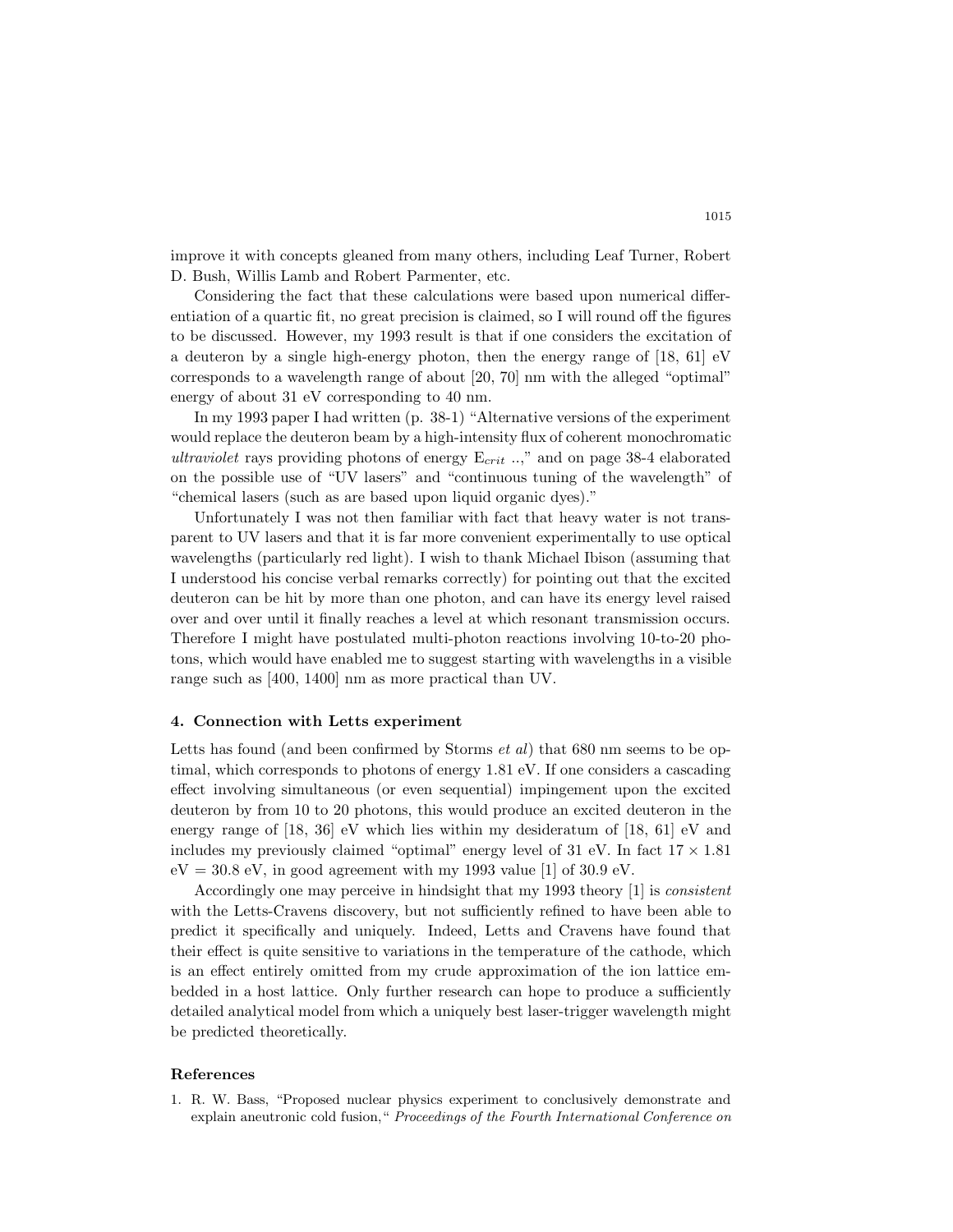improve it with concepts gleaned from many others, including Leaf Turner, Robert D. Bush, Willis Lamb and Robert Parmenter, etc.

Considering the fact that these calculations were based upon numerical differentiation of a quartic fit, no great precision is claimed, so I will round off the figures to be discussed. However, my 1993 result is that if one considers the excitation of a deuteron by a single high-energy photon, then the energy range of [18, 61] eV corresponds to a wavelength range of about [20, 70] nm with the alleged "optimal" energy of about 31 eV corresponding to 40 nm.

In my 1993 paper I had written (p. 38-1) "Alternative versions of the experiment would replace the deuteron beam by a high-intensity flux of coherent monochromatic *ultraviolet* rays providing photons of energy E*crit* ..," and on page 38-4 elaborated on the possible use of "UV lasers" and "continuous tuning of the wavelength" of "chemical lasers (such as are based upon liquid organic dyes)."

Unfortunately I was not then familiar with fact that heavy water is not transparent to UV lasers and that it is far more convenient experimentally to use optical wavelengths (particularly red light). I wish to thank Michael Ibison (assuming that I understood his concise verbal remarks correctly) for pointing out that the excited deuteron can be hit by more than one photon, and can have its energy level raised over and over until it finally reaches a level at which resonant transmission occurs. Therefore I might have postulated multi-photon reactions involving 10-to-20 photons, which would have enabled me to suggest starting with wavelengths in a visible range such as [400, 1400] nm as more practical than UV.

#### **4. Connection with Letts experiment**

Letts has found (and been confirmed by Storms *et al*) that 680 nm seems to be optimal, which corresponds to photons of energy 1.81 eV. If one considers a cascading effect involving simultaneous (or even sequential) impingement upon the excited deuteron by from 10 to 20 photons, this would produce an excited deuteron in the energy range of [18, 36] eV which lies within my desideratum of [18, 61] eV and includes my previously claimed "optimal" energy level of 31 eV. In fact  $17 \times 1.81$  $eV = 30.8$  eV, in good agreement with my 1993 value [1] of 30.9 eV.

Accordingly one may perceive in hindsight that my 1993 theory [1] is *consistent* with the Letts-Cravens discovery, but not sufficiently refined to have been able to predict it specifically and uniquely. Indeed, Letts and Cravens have found that their effect is quite sensitive to variations in the temperature of the cathode, which is an effect entirely omitted from my crude approximation of the ion lattice embedded in a host lattice. Only further research can hope to produce a sufficiently detailed analytical model from which a uniquely best laser-trigger wavelength might be predicted theoretically.

#### **References**

1. R. W. Bass, "Proposed nuclear physics experiment to conclusively demonstrate and explain aneutronic cold fusion," *Proceedings of the Fourth International Conference on*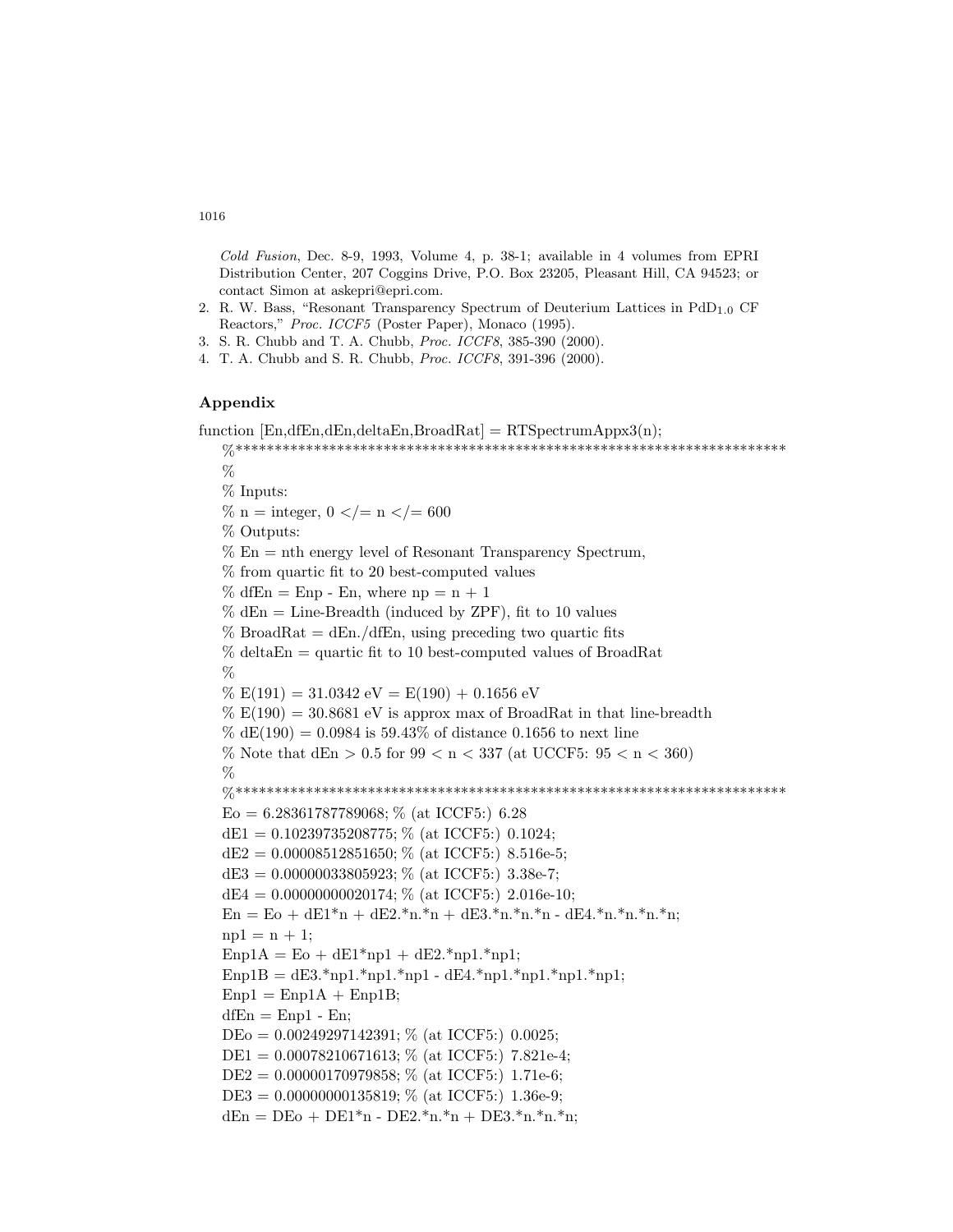*Cold Fusion*, Dec. 8-9, 1993, Volume 4, p. 38-1; available in 4 volumes from EPRI Distribution Center, 207 Coggins Drive, P.O. Box 23205, Pleasant Hill, CA 94523; or contact Simon at askepri@epri.com.

- 2. R. W. Bass, "Resonant Transparency Spectrum of Deuterium Lattices in PdD1*.*0 CF Reactors," *Proc. ICCF5* (Poster Paper), Monaco (1995).
- 3. S. R. Chubb and T. A. Chubb, *Proc. ICCF8*, 385-390 (2000).
- 4. T. A. Chubb and S. R. Chubb, *Proc. ICCF8*, 391-396 (2000).

# **Appendix**

```
function [En.dfEn.dEn.deltaEn.BroadRat] = RTSpectrumApprox3(n);%***********************************************************************
%% Inputs:
% n = integer, 0 \lt = n \lt = 600% Outputs:
% En = nth energy level of Resonant Transparency Spectrum,% from quartic fit to 20 best-computed values
\% dfEn = Enp - En, where np = n + 1% dEn = Line-Breadth (induced by ZPF), fit to 10 values
% BroadRat = dEn./dfEn, using preceding two quartic fits
% deltaEn = quartic fit to 10 best-computed values of BroadRat
\%\% E(191) = 31.0342 \text{ eV} = E(190) + 0.1656 \text{ eV}\% E(190) = 30.8681 eV is approx max of BroadRat in that line-breadth
\% dE(190) = 0.0984 is 59.43\% of distance 0.1656 to next line
% Note that dEn > 0.5 for 99 < n < 337 (at UCCF5: 95 < n < 360)
%%***********************************************************************
E_0 = 6.28361787789068; % (at ICCF5:) 6.28
dE1 = 0.10239735208775; % (at ICCF5:) 0.1024;
dE2 = 0.00008512851650; % (at ICCF5:) 8.516e-5;
dE3 = 0.00000033805923; % (at ICCF5:) 3.38e-7;
dE4 = 0.00000000020174; % (at ICCF5:) 2.016e-10;
En = E_0 + dE_1^*n + dE_2^*n.*n + dE_3^*n.*n.*n - dE_4^*n.*n.*n.*n;np1 = n + 1;
\text{Enp1A} = \text{Eo} + \text{d} \text{E1*} \text{np1} + \text{d} \text{E2*} \text{np1.*} \text{np1};Emp1B = dE3.*np1.*np1.*np1 - dE4.*np1.*np1.*np1.*np1;Enp1 = Enp1A + Enp1B;dfEn = Emp1 - En;DEo = 0.00249297142391; % (at ICCF5:) 0.0025;
DE1 = 0.00078210671613; % (at ICCF5:) 7.821e-4;
DE2 = 0.00000170979858; % (at ICCF5:) 1.71e-6;
DE3 = 0.00000000135819; % (at ICCF5:) 1.36e-9;
dEn = DEo + DE1*n - DE2.*n.*n + DE3.*n.*n.*n;
```
# 1016